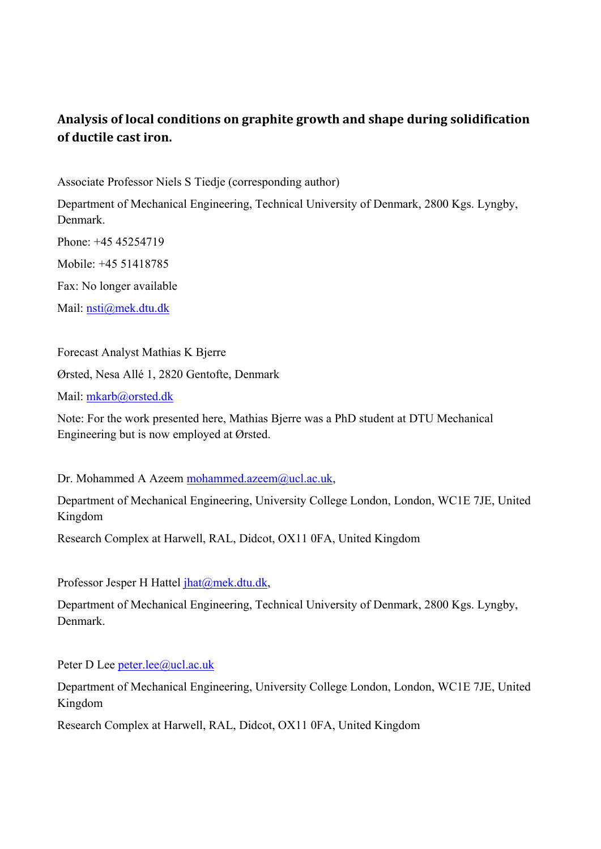# **Analysis of local conditions on graphite growth and shape during solidification of ductile cast iron.**

Associate Professor Niels S Tiedje (corresponding author)

Department of Mechanical Engineering, Technical University of Denmark, 2800 Kgs. Lyngby, Denmark.

Phone: +45 45254719 Mobile: +45 51418785 Fax: No longer available

Mail: nsti@mek.dtu.dk

Forecast Analyst Mathias K Bjerre

Ørsted, Nesa Allé 1, 2820 Gentofte, Denmark

Mail: mkarb@orsted.dk

Note: For the work presented here, Mathias Bjerre was a PhD student at DTU Mechanical Engineering but is now employed at Ørsted.

Dr. Mohammed A Azeem mohammed.azeem@ucl.ac.uk,

Department of Mechanical Engineering, University College London, London, WC1E 7JE, United Kingdom

Research Complex at Harwell, RAL, Didcot, OX11 0FA, United Kingdom

Professor Jesper H Hattel jhat@mek.dtu.dk,

Department of Mechanical Engineering, Technical University of Denmark, 2800 Kgs. Lyngby, Denmark.

Peter D Lee peter.lee@ucl.ac.uk

Department of Mechanical Engineering, University College London, London, WC1E 7JE, United Kingdom

Research Complex at Harwell, RAL, Didcot, OX11 0FA, United Kingdom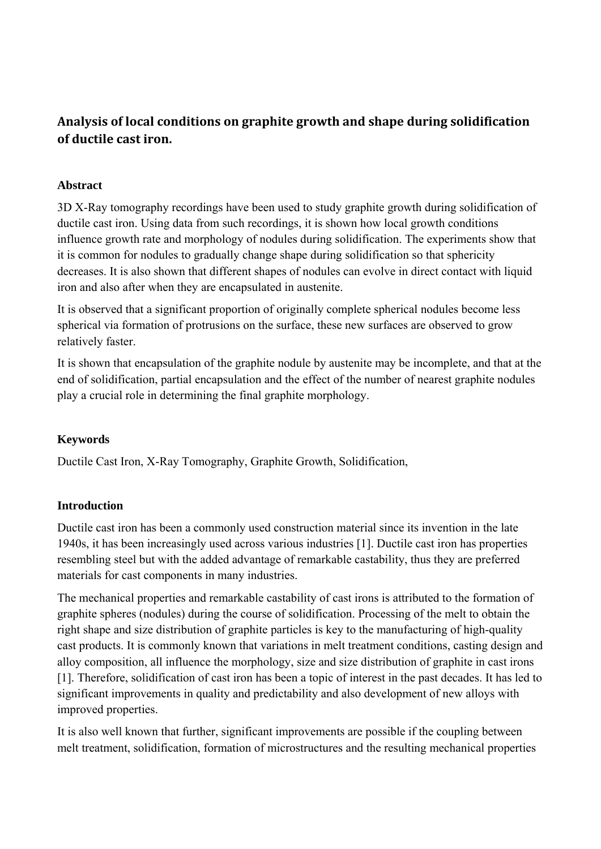# **Analysis of local conditions on graphite growth and shape during solidification of ductile cast iron.**

## **Abstract**

3D X-Ray tomography recordings have been used to study graphite growth during solidification of ductile cast iron. Using data from such recordings, it is shown how local growth conditions influence growth rate and morphology of nodules during solidification. The experiments show that it is common for nodules to gradually change shape during solidification so that sphericity decreases. It is also shown that different shapes of nodules can evolve in direct contact with liquid iron and also after when they are encapsulated in austenite.

It is observed that a significant proportion of originally complete spherical nodules become less spherical via formation of protrusions on the surface, these new surfaces are observed to grow relatively faster.

It is shown that encapsulation of the graphite nodule by austenite may be incomplete, and that at the end of solidification, partial encapsulation and the effect of the number of nearest graphite nodules play a crucial role in determining the final graphite morphology.

# **Keywords**

Ductile Cast Iron, X-Ray Tomography, Graphite Growth, Solidification,

# **Introduction**

Ductile cast iron has been a commonly used construction material since its invention in the late 1940s, it has been increasingly used across various industries [1]. Ductile cast iron has properties resembling steel but with the added advantage of remarkable castability, thus they are preferred materials for cast components in many industries.

The mechanical properties and remarkable castability of cast irons is attributed to the formation of graphite spheres (nodules) during the course of solidification. Processing of the melt to obtain the right shape and size distribution of graphite particles is key to the manufacturing of high-quality cast products. It is commonly known that variations in melt treatment conditions, casting design and alloy composition, all influence the morphology, size and size distribution of graphite in cast irons [1]. Therefore, solidification of cast iron has been a topic of interest in the past decades. It has led to significant improvements in quality and predictability and also development of new alloys with improved properties.

It is also well known that further, significant improvements are possible if the coupling between melt treatment, solidification, formation of microstructures and the resulting mechanical properties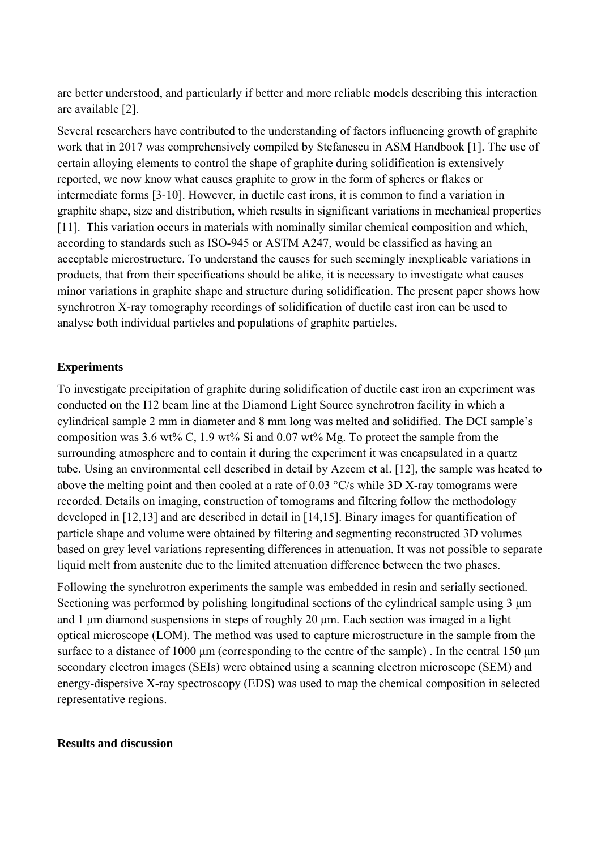are better understood, and particularly if better and more reliable models describing this interaction are available [2].

Several researchers have contributed to the understanding of factors influencing growth of graphite work that in 2017 was comprehensively compiled by Stefanescu in ASM Handbook [1]. The use of certain alloying elements to control the shape of graphite during solidification is extensively reported, we now know what causes graphite to grow in the form of spheres or flakes or intermediate forms [3-10]. However, in ductile cast irons, it is common to find a variation in graphite shape, size and distribution, which results in significant variations in mechanical properties [11]. This variation occurs in materials with nominally similar chemical composition and which, according to standards such as ISO-945 or ASTM A247, would be classified as having an acceptable microstructure. To understand the causes for such seemingly inexplicable variations in products, that from their specifications should be alike, it is necessary to investigate what causes minor variations in graphite shape and structure during solidification. The present paper shows how synchrotron X-ray tomography recordings of solidification of ductile cast iron can be used to analyse both individual particles and populations of graphite particles.

## **Experiments**

To investigate precipitation of graphite during solidification of ductile cast iron an experiment was conducted on the I12 beam line at the Diamond Light Source synchrotron facility in which a cylindrical sample 2 mm in diameter and 8 mm long was melted and solidified. The DCI sample's composition was 3.6 wt% C, 1.9 wt% Si and 0.07 wt% Mg. To protect the sample from the surrounding atmosphere and to contain it during the experiment it was encapsulated in a quartz tube. Using an environmental cell described in detail by Azeem et al. [12], the sample was heated to above the melting point and then cooled at a rate of 0.03 °C/s while 3D X-ray tomograms were recorded. Details on imaging, construction of tomograms and filtering follow the methodology developed in [12,13] and are described in detail in [14,15]. Binary images for quantification of particle shape and volume were obtained by filtering and segmenting reconstructed 3D volumes based on grey level variations representing differences in attenuation. It was not possible to separate liquid melt from austenite due to the limited attenuation difference between the two phases.

Following the synchrotron experiments the sample was embedded in resin and serially sectioned. Sectioning was performed by polishing longitudinal sections of the cylindrical sample using 3 μm and 1 μm diamond suspensions in steps of roughly 20 μm. Each section was imaged in a light optical microscope (LOM). The method was used to capture microstructure in the sample from the surface to a distance of 1000 μm (corresponding to the centre of the sample) . In the central 150 μm secondary electron images (SEIs) were obtained using a scanning electron microscope (SEM) and energy-dispersive X-ray spectroscopy (EDS) was used to map the chemical composition in selected representative regions.

#### **Results and discussion**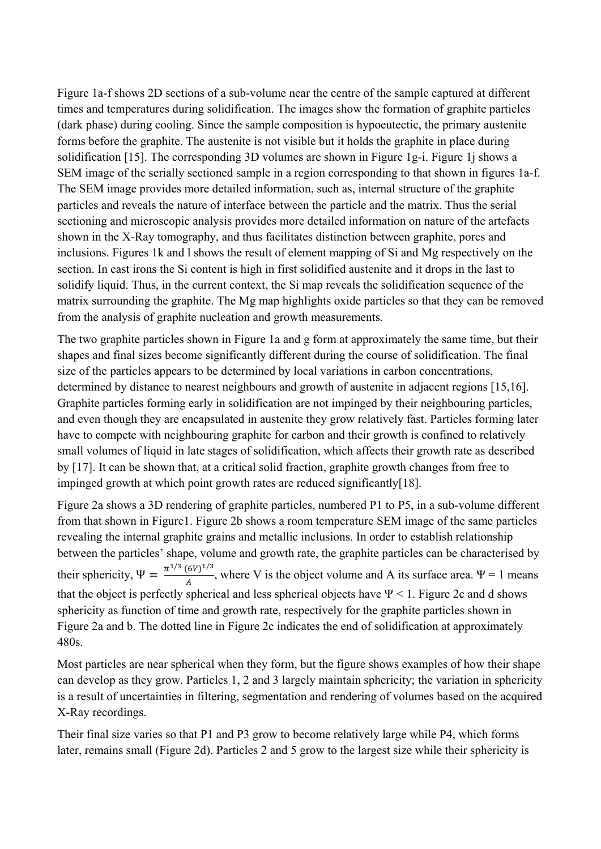Figure 1a-f shows 2D sections of a sub-volume near the centre of the sample captured at different times and temperatures during solidification. The images show the formation of graphite particles (dark phase) during cooling. Since the sample composition is hypoeutectic, the primary austenite forms before the graphite. The austenite is not visible but it holds the graphite in place during solidification [15]. The corresponding 3D volumes are shown in Figure 1g-i. Figure 1j shows a SEM image of the serially sectioned sample in a region corresponding to that shown in figures 1a-f. The SEM image provides more detailed information, such as, internal structure of the graphite particles and reveals the nature of interface between the particle and the matrix. Thus the serial sectioning and microscopic analysis provides more detailed information on nature of the artefacts shown in the X-Ray tomography, and thus facilitates distinction between graphite, pores and inclusions. Figures 1k and l shows the result of element mapping of Si and Mg respectively on the section. In cast irons the Si content is high in first solidified austenite and it drops in the last to solidify liquid. Thus, in the current context, the Si map reveals the solidification sequence of the matrix surrounding the graphite. The Mg map highlights oxide particles so that they can be removed from the analysis of graphite nucleation and growth measurements.

The two graphite particles shown in Figure 1a and g form at approximately the same time, but their shapes and final sizes become significantly different during the course of solidification. The final size of the particles appears to be determined by local variations in carbon concentrations, determined by distance to nearest neighbours and growth of austenite in adjacent regions [15,16]. Graphite particles forming early in solidification are not impinged by their neighbouring particles, and even though they are encapsulated in austenite they grow relatively fast. Particles forming later have to compete with neighbouring graphite for carbon and their growth is confined to relatively small volumes of liquid in late stages of solidification, which affects their growth rate as described by [17]. It can be shown that, at a critical solid fraction, graphite growth changes from free to impinged growth at which point growth rates are reduced significantly[18].

Figure 2a shows a 3D rendering of graphite particles, numbered P1 to P5, in a sub-volume different from that shown in Figure1. Figure 2b shows a room temperature SEM image of the same particles revealing the internal graphite grains and metallic inclusions. In order to establish relationship between the particles' shape, volume and growth rate, the graphite particles can be characterised by their sphericity,  $\Psi = \frac{\pi^{1/3} (6V)^{1/3}}{A}$ , where V is the object volume and A its surface area.  $\Psi = 1$  means that the object is perfectly spherical and less spherical objects have  $\Psi$  < 1. Figure 2c and d shows sphericity as function of time and growth rate, respectively for the graphite particles shown in Figure 2a and b. The dotted line in Figure 2c indicates the end of solidification at approximately 480s.

Most particles are near spherical when they form, but the figure shows examples of how their shape can develop as they grow. Particles 1, 2 and 3 largely maintain sphericity; the variation in sphericity is a result of uncertainties in filtering, segmentation and rendering of volumes based on the acquired X-Ray recordings.

Their final size varies so that P1 and P3 grow to become relatively large while P4, which forms later, remains small (Figure 2d). Particles 2 and 5 grow to the largest size while their sphericity is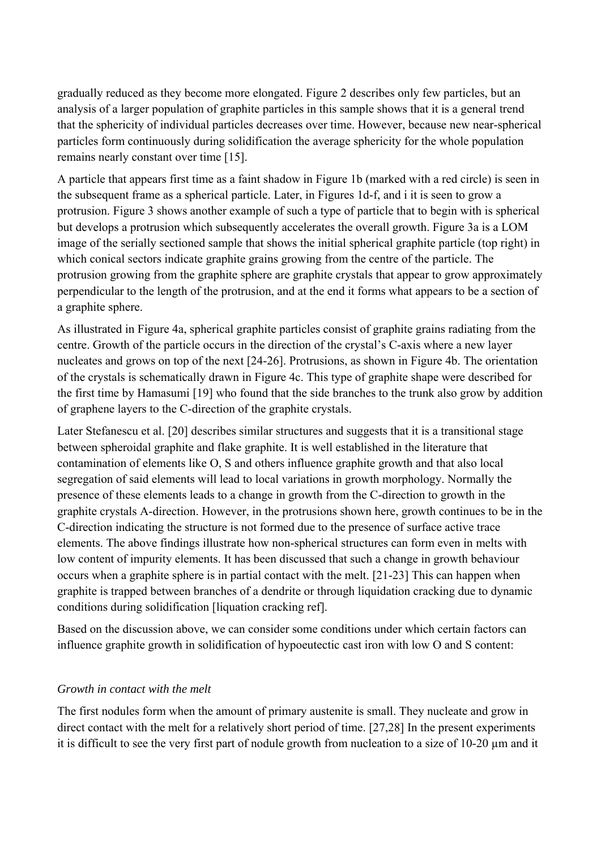gradually reduced as they become more elongated. Figure 2 describes only few particles, but an analysis of a larger population of graphite particles in this sample shows that it is a general trend that the sphericity of individual particles decreases over time. However, because new near-spherical particles form continuously during solidification the average sphericity for the whole population remains nearly constant over time [15].

A particle that appears first time as a faint shadow in Figure 1b (marked with a red circle) is seen in the subsequent frame as a spherical particle. Later, in Figures 1d-f, and i it is seen to grow a protrusion. Figure 3 shows another example of such a type of particle that to begin with is spherical but develops a protrusion which subsequently accelerates the overall growth. Figure 3a is a LOM image of the serially sectioned sample that shows the initial spherical graphite particle (top right) in which conical sectors indicate graphite grains growing from the centre of the particle. The protrusion growing from the graphite sphere are graphite crystals that appear to grow approximately perpendicular to the length of the protrusion, and at the end it forms what appears to be a section of a graphite sphere.

As illustrated in Figure 4a, spherical graphite particles consist of graphite grains radiating from the centre. Growth of the particle occurs in the direction of the crystal's C-axis where a new layer nucleates and grows on top of the next [24-26]. Protrusions, as shown in Figure 4b. The orientation of the crystals is schematically drawn in Figure 4c. This type of graphite shape were described for the first time by Hamasumi [19] who found that the side branches to the trunk also grow by addition of graphene layers to the C-direction of the graphite crystals.

Later Stefanescu et al. [20] describes similar structures and suggests that it is a transitional stage between spheroidal graphite and flake graphite. It is well established in the literature that contamination of elements like O, S and others influence graphite growth and that also local segregation of said elements will lead to local variations in growth morphology. Normally the presence of these elements leads to a change in growth from the C-direction to growth in the graphite crystals A-direction. However, in the protrusions shown here, growth continues to be in the C-direction indicating the structure is not formed due to the presence of surface active trace elements. The above findings illustrate how non-spherical structures can form even in melts with low content of impurity elements. It has been discussed that such a change in growth behaviour occurs when a graphite sphere is in partial contact with the melt. [21-23] This can happen when graphite is trapped between branches of a dendrite or through liquidation cracking due to dynamic conditions during solidification [liquation cracking ref].

Based on the discussion above, we can consider some conditions under which certain factors can influence graphite growth in solidification of hypoeutectic cast iron with low O and S content:

## *Growth in contact with the melt*

The first nodules form when the amount of primary austenite is small. They nucleate and grow in direct contact with the melt for a relatively short period of time. [27,28] In the present experiments it is difficult to see the very first part of nodule growth from nucleation to a size of 10-20 µm and it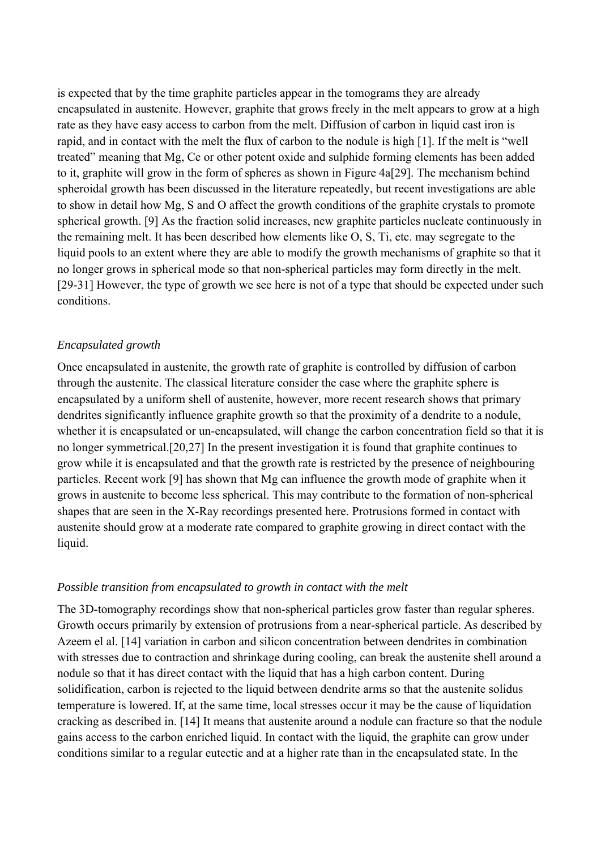is expected that by the time graphite particles appear in the tomograms they are already encapsulated in austenite. However, graphite that grows freely in the melt appears to grow at a high rate as they have easy access to carbon from the melt. Diffusion of carbon in liquid cast iron is rapid, and in contact with the melt the flux of carbon to the nodule is high [1]. If the melt is "well treated" meaning that Mg, Ce or other potent oxide and sulphide forming elements has been added to it, graphite will grow in the form of spheres as shown in Figure 4a[29]. The mechanism behind spheroidal growth has been discussed in the literature repeatedly, but recent investigations are able to show in detail how Mg, S and O affect the growth conditions of the graphite crystals to promote spherical growth. [9] As the fraction solid increases, new graphite particles nucleate continuously in the remaining melt. It has been described how elements like O, S, Ti, etc. may segregate to the liquid pools to an extent where they are able to modify the growth mechanisms of graphite so that it no longer grows in spherical mode so that non-spherical particles may form directly in the melt. [29-31] However, the type of growth we see here is not of a type that should be expected under such conditions.

#### *Encapsulated growth*

Once encapsulated in austenite, the growth rate of graphite is controlled by diffusion of carbon through the austenite. The classical literature consider the case where the graphite sphere is encapsulated by a uniform shell of austenite, however, more recent research shows that primary dendrites significantly influence graphite growth so that the proximity of a dendrite to a nodule, whether it is encapsulated or un-encapsulated, will change the carbon concentration field so that it is no longer symmetrical.[20,27] In the present investigation it is found that graphite continues to grow while it is encapsulated and that the growth rate is restricted by the presence of neighbouring particles. Recent work [9] has shown that Mg can influence the growth mode of graphite when it grows in austenite to become less spherical. This may contribute to the formation of non-spherical shapes that are seen in the X-Ray recordings presented here. Protrusions formed in contact with austenite should grow at a moderate rate compared to graphite growing in direct contact with the liquid.

#### *Possible transition from encapsulated to growth in contact with the melt*

The 3D-tomography recordings show that non-spherical particles grow faster than regular spheres. Growth occurs primarily by extension of protrusions from a near-spherical particle. As described by Azeem el al. [14] variation in carbon and silicon concentration between dendrites in combination with stresses due to contraction and shrinkage during cooling, can break the austenite shell around a nodule so that it has direct contact with the liquid that has a high carbon content. During solidification, carbon is rejected to the liquid between dendrite arms so that the austenite solidus temperature is lowered. If, at the same time, local stresses occur it may be the cause of liquidation cracking as described in. [14] It means that austenite around a nodule can fracture so that the nodule gains access to the carbon enriched liquid. In contact with the liquid, the graphite can grow under conditions similar to a regular eutectic and at a higher rate than in the encapsulated state. In the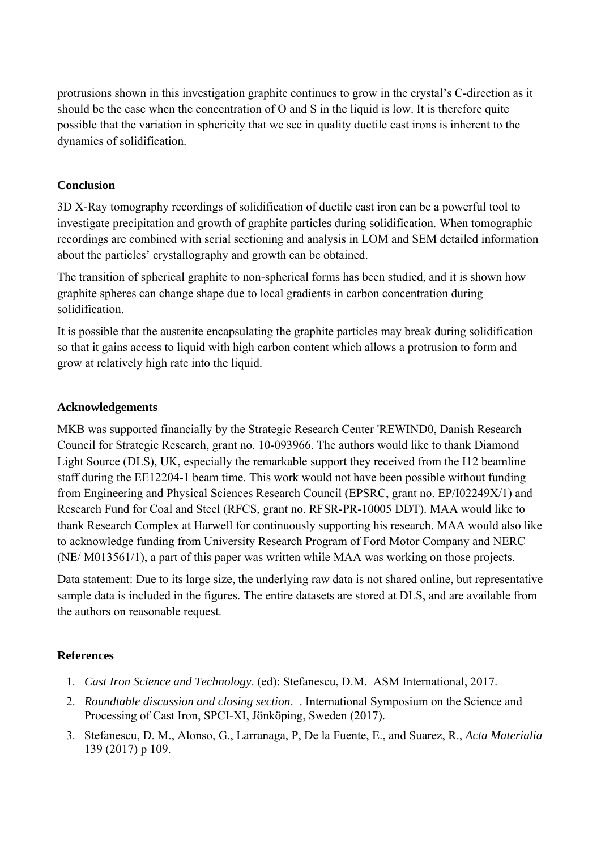protrusions shown in this investigation graphite continues to grow in the crystal's C-direction as it should be the case when the concentration of O and S in the liquid is low. It is therefore quite possible that the variation in sphericity that we see in quality ductile cast irons is inherent to the dynamics of solidification.

# **Conclusion**

3D X-Ray tomography recordings of solidification of ductile cast iron can be a powerful tool to investigate precipitation and growth of graphite particles during solidification. When tomographic recordings are combined with serial sectioning and analysis in LOM and SEM detailed information about the particles' crystallography and growth can be obtained.

The transition of spherical graphite to non-spherical forms has been studied, and it is shown how graphite spheres can change shape due to local gradients in carbon concentration during solidification.

It is possible that the austenite encapsulating the graphite particles may break during solidification so that it gains access to liquid with high carbon content which allows a protrusion to form and grow at relatively high rate into the liquid.

## **Acknowledgements**

MKB was supported financially by the Strategic Research Center 'REWIND0, Danish Research Council for Strategic Research, grant no. 10-093966. The authors would like to thank Diamond Light Source (DLS), UK, especially the remarkable support they received from the I12 beamline staff during the EE12204-1 beam time. This work would not have been possible without funding from Engineering and Physical Sciences Research Council (EPSRC, grant no. EP/I02249X/1) and Research Fund for Coal and Steel (RFCS, grant no. RFSR-PR-10005 DDT). MAA would like to thank Research Complex at Harwell for continuously supporting his research. MAA would also like to acknowledge funding from University Research Program of Ford Motor Company and NERC (NE/ M013561/1), a part of this paper was written while MAA was working on those projects.

Data statement: Due to its large size, the underlying raw data is not shared online, but representative sample data is included in the figures. The entire datasets are stored at DLS, and are available from the authors on reasonable request.

# **References**

- 1. *Cast Iron Science and Technology*. (ed): Stefanescu, D.M. ASM International, 2017.
- 2. *Roundtable discussion and closing section*. . International Symposium on the Science and Processing of Cast Iron, SPCI-XI, Jönköping, Sweden (2017).
- 3. Stefanescu, D. M., Alonso, G., Larranaga, P, De la Fuente, E., and Suarez, R., *Acta Materialia*  139 (2017) p 109.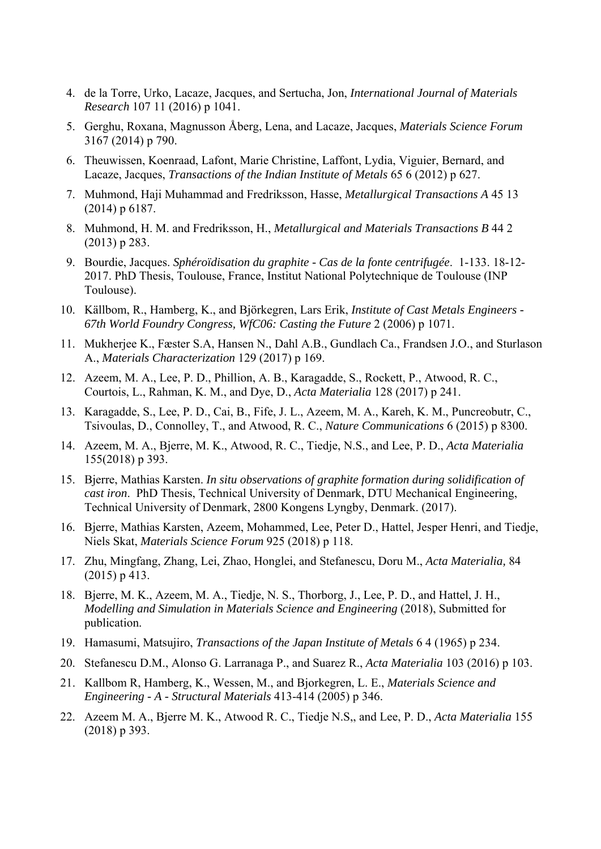- 4. de la Torre, Urko, Lacaze, Jacques, and Sertucha, Jon, *International Journal of Materials Research* 107 11 (2016) p 1041.
- 5. Gerghu, Roxana, Magnusson Åberg, Lena, and Lacaze, Jacques, *Materials Science Forum*  3167 (2014) p 790.
- 6. Theuwissen, Koenraad, Lafont, Marie Christine, Laffont, Lydia, Viguier, Bernard, and Lacaze, Jacques, *Transactions of the Indian Institute of Metals* 65 6 (2012) p 627.
- 7. Muhmond, Haji Muhammad and Fredriksson, Hasse, *Metallurgical Transactions A* 45 13 (2014) p 6187.
- 8. Muhmond, H. M. and Fredriksson, H., *Metallurgical and Materials Transactions B* 44 2 (2013) p 283.
- 9. Bourdie, Jacques. *Sphéroïdisation du graphite Cas de la fonte centrifugée*. 1-133. 18-12- 2017. PhD Thesis, Toulouse, France, Institut National Polytechnique de Toulouse (INP Toulouse).
- 10. Källbom, R., Hamberg, K., and Björkegren, Lars Erik, *Institute of Cast Metals Engineers 67th World Foundry Congress, WfC06: Casting the Future* 2 (2006) p 1071.
- 11. Mukherjee K., Fæster S.A, Hansen N., Dahl A.B., Gundlach Ca., Frandsen J.O., and Sturlason A., *Materials Characterization* 129 (2017) p 169.
- 12. Azeem, M. A., Lee, P. D., Phillion, A. B., Karagadde, S., Rockett, P., Atwood, R. C., Courtois, L., Rahman, K. M., and Dye, D., *Acta Materialia* 128 (2017) p 241.
- 13. Karagadde, S., Lee, P. D., Cai, B., Fife, J. L., Azeem, M. A., Kareh, K. M., Puncreobutr, C., Tsivoulas, D., Connolley, T., and Atwood, R. C., *Nature Communications* 6 (2015) p 8300.
- 14. Azeem, M. A., Bjerre, M. K., Atwood, R. C., Tiedje, N.S., and Lee, P. D., *Acta Materialia*  155(2018) p 393.
- 15. Bjerre, Mathias Karsten. *In situ observations of graphite formation during solidification of cast iron*. PhD Thesis, Technical University of Denmark, DTU Mechanical Engineering, Technical University of Denmark, 2800 Kongens Lyngby, Denmark. (2017).
- 16. Bjerre, Mathias Karsten, Azeem, Mohammed, Lee, Peter D., Hattel, Jesper Henri, and Tiedje, Niels Skat, *Materials Science Forum* 925 (2018) p 118.
- 17. Zhu, Mingfang, Zhang, Lei, Zhao, Honglei, and Stefanescu, Doru M., *Acta Materialia,* 84 (2015) p 413.
- 18. Bjerre, M. K., Azeem, M. A., Tiedje, N. S., Thorborg, J., Lee, P. D., and Hattel, J. H., *Modelling and Simulation in Materials Science and Engineering* (2018), Submitted for publication.
- 19. Hamasumi, Matsujiro, *Transactions of the Japan Institute of Metals* 6 4 (1965) p 234.
- 20. Stefanescu D.M., Alonso G. Larranaga P., and Suarez R., *Acta Materialia* 103 (2016) p 103.
- 21. Kallbom R, Hamberg, K., Wessen, M., and Bjorkegren, L. E., *Materials Science and Engineering - A - Structural Materials* 413-414 (2005) p 346.
- 22. Azeem M. A., Bjerre M. K., Atwood R. C., Tiedje N.S,, and Lee, P. D., *Acta Materialia* 155 (2018) p 393.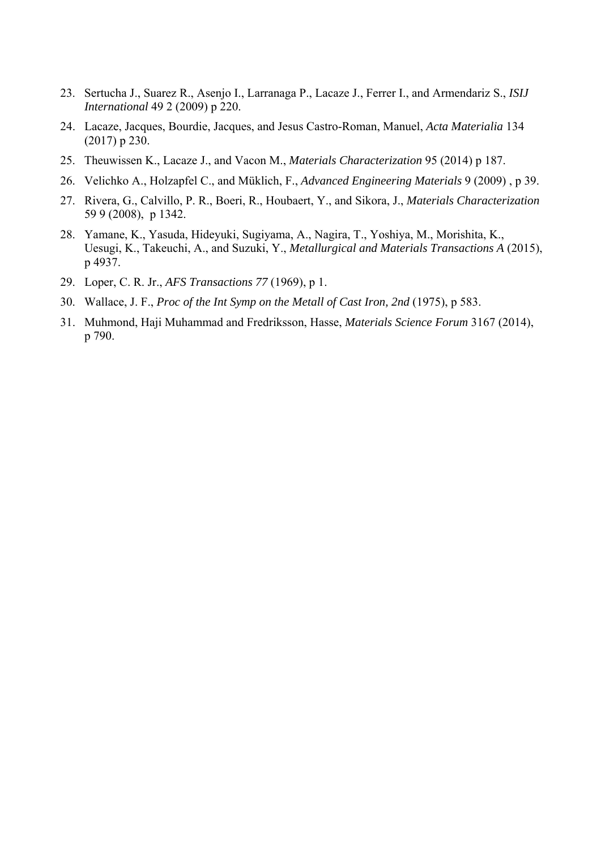- 23. Sertucha J., Suarez R., Asenjo I., Larranaga P., Lacaze J., Ferrer I., and Armendariz S., *ISIJ International* 49 2 (2009) p 220.
- 24. Lacaze, Jacques, Bourdie, Jacques, and Jesus Castro-Roman, Manuel, *Acta Materialia* 134 (2017) p 230.
- 25. Theuwissen K., Lacaze J., and Vacon M., *Materials Characterization* 95 (2014) p 187.
- 26. Velichko A., Holzapfel C., and Müklich, F., *Advanced Engineering Materials* 9 (2009) , p 39.
- 27. Rivera, G., Calvillo, P. R., Boeri, R., Houbaert, Y., and Sikora, J., *Materials Characterization*  59 9 (2008), p 1342.
- 28. Yamane, K., Yasuda, Hideyuki, Sugiyama, A., Nagira, T., Yoshiya, M., Morishita, K., Uesugi, K., Takeuchi, A., and Suzuki, Y., *Metallurgical and Materials Transactions A* (2015), p 4937.
- 29. Loper, C. R. Jr., *AFS Transactions 77* (1969), p 1.
- 30. Wallace, J. F., *Proc of the Int Symp on the Metall of Cast Iron, 2nd* (1975), p 583.
- 31. Muhmond, Haji Muhammad and Fredriksson, Hasse, *Materials Science Forum* 3167 (2014), p 790.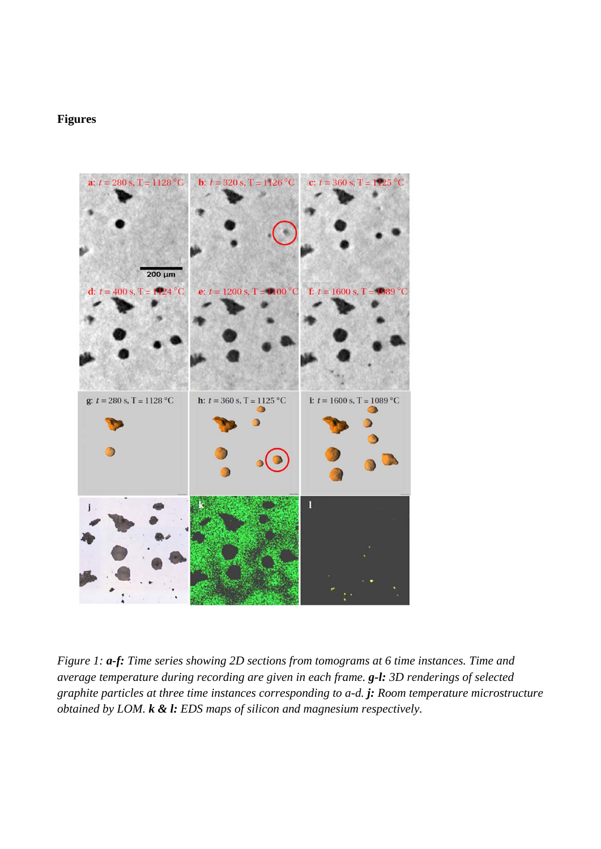# **Figures**



*Figure 1: a-f: Time series showing 2D sections from tomograms at 6 time instances. Time and average temperature during recording are given in each frame. g-l: 3D renderings of selected graphite particles at three time instances corresponding to a-d. j: Room temperature microstructure obtained by LOM. k & l: EDS maps of silicon and magnesium respectively.*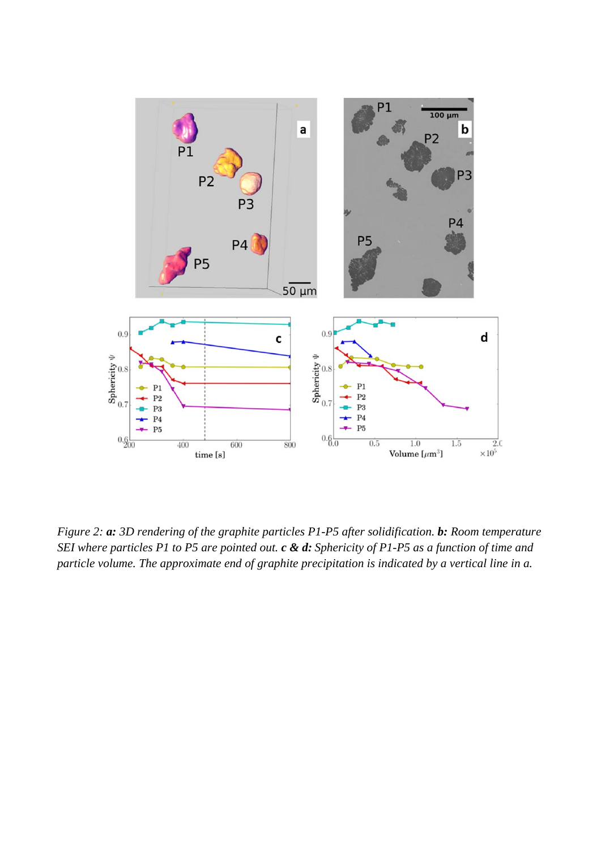

*Figure 2: a: 3D rendering of the graphite particles P1-P5 after solidification. b: Room temperature SEI where particles P1 to P5 are pointed out. c & d: Sphericity of P1-P5 as a function of time and particle volume. The approximate end of graphite precipitation is indicated by a vertical line in a.*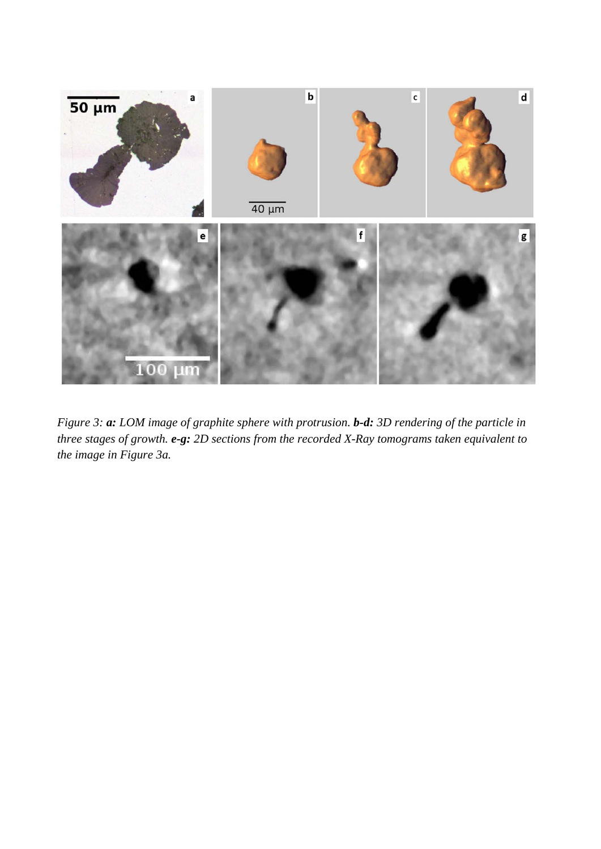

*Figure 3: a: LOM image of graphite sphere with protrusion. b-d: 3D rendering of the particle in three stages of growth. e-g: 2D sections from the recorded X-Ray tomograms taken equivalent to the image in Figure 3a.*